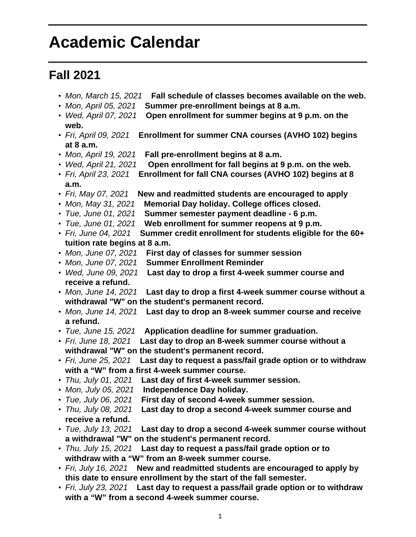## **Academic Calendar**

## **Fall 2021**

- Mon, March 15, 2021 **Fall schedule of classes becomes available on the web.**
- Mon, April 05, 2021 **Summer pre-enrollment beings at 8 a.m.**
- Wed, April 07, 2021 **Open enrollment for summer begins at 9 p.m. on the web.**
- Fri, April 09, 2021 **Enrollment for summer CNA courses (AVHO 102) begins at 8 a.m.**
- Mon, April 19, 2021 **Fall pre-enrollment begins at 8 a.m.**
- Wed, April 21, 2021 **Open enrollment for fall begins at 9 p.m. on the web.**
- Fri, April 23, 2021 **Enrollment for fall CNA courses (AVHO 102) begins at 8 a.m.**
- Fri, May 07, 2021 **New and readmitted students are encouraged to apply**
- Mon, May 31, 2021 **Memorial Day holiday. College offices closed.**
- Tue, June 01, 2021 **Summer semester payment deadline 6 p.m.**
- Tue, June 01, 2021 **Web enrollment for summer reopens at 9 p.m.**
- Fri, June 04, 2021 **Summer credit enrollment for students eligible for the 60+ tuition rate begins at 8 a.m.**
- Mon, June 07, 2021 **First day of classes for summer session**
- Mon, June 07, 2021 **Summer Enrollment Reminder**
- Wed, June 09, 2021 **Last day to drop a first 4-week summer course and receive a refund.**
- Mon, June 14, 2021 **Last day to drop a first 4-week summer course without a withdrawal "W" on the student's permanent record.**
- Mon, June 14, 2021 **Last day to drop an 8-week summer course and receive a refund.**
- Tue, June 15, 2021 **Application deadline for summer graduation.**
- Fri, June 18, 2021 **Last day to drop an 8-week summer course without a withdrawal "W" on the student's permanent record.**
- Fri, June 25, 2021 **Last day to request a pass/fail grade option or to withdraw with a "W" from a first 4-week summer course.**
- Thu, July 01, 2021 **Last day of first 4-week summer session.**
- Mon, July 05, 2021 **Independence Day holiday.**
- Tue, July 06, 2021 **First day of second 4-week summer session.**
- Thu, July 08, 2021 **Last day to drop a second 4-week summer course and receive a refund.**
- Tue, July 13, 2021 **Last day to drop a second 4-week summer course without a withdrawal "W" on the student's permanent record.**
- Thu, July 15, 2021 **Last day to request a pass/fail grade option or to withdraw with a "W" from an 8-week summer course.**
- Fri, July 16, 2021 **New and readmitted students are encouraged to apply by this date to ensure enrollment by the start of the fall semester.**
- Fri, July 23, 2021 **Last day to request a pass/fail grade option or to withdraw with a "W" from a second 4-week summer course.**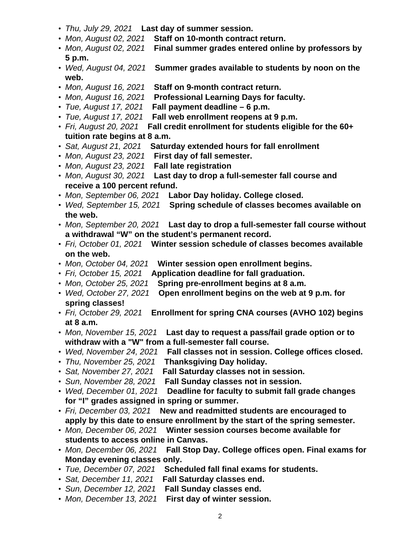- Thu, July 29, 2021 **Last day of summer session.**
- Mon, August 02, 2021 **Staff on 10-month contract return.**
- Mon, August 02, 2021 **Final summer grades entered online by professors by 5 p.m.**
- Wed, August 04, 2021 **Summer grades available to students by noon on the web.**
- Mon, August 16, 2021 **Staff on 9-month contract return.**
- Mon, August 16, 2021 **Professional Learning Days for faculty.**
- Tue, August 17, 2021 **Fall payment deadline 6 p.m.**
- Fall web enrollment reopens at 9 p.m.
- Fri, August 20, 2021 **Fall credit enrollment for students eligible for the 60+ tuition rate begins at 8 a.m.**
- Sat, August 21, 2021 **Saturday extended hours for fall enrollment**
- Mon, August 23, 2021 **First day of fall semester.**
- Mon, August 23, 2021 **Fall late registration**
- Mon, August 30, 2021 **Last day to drop a full-semester fall course and receive a 100 percent refund.**
- Mon, September 06, 2021 **Labor Day holiday. College closed.**
- Wed, September 15, 2021 **Spring schedule of classes becomes available on the web.**
- Mon, September 20, 2021 **Last day to drop a full-semester fall course without a withdrawal "W" on the student's permanent record.**
- Fri, October 01, 2021 **Winter session schedule of classes becomes available on the web.**
- Mon, October 04, 2021 **Winter session open enrollment begins.**
- Fri, October 15, 2021 **Application deadline for fall graduation.**
- Mon, October 25, 2021 **Spring pre-enrollment begins at 8 a.m.**
- Wed, October 27, 2021 **Open enrollment begins on the web at 9 p.m. for spring classes!**
- Fri, October 29, 2021 **Enrollment for spring CNA courses (AVHO 102) begins at 8 a.m.**
- Mon, November 15, 2021 **Last day to request a pass/fail grade option or to withdraw with a "W" from a full-semester fall course.**
- Wed, November 24, 2021 **Fall classes not in session. College offices closed.**
- Thu, November 25, 2021 **Thanksgiving Day holiday.**
- Sat, November 27, 2021 **Fall Saturday classes not in session.**
- Sun, November 28, 2021 **Fall Sunday classes not in session.**
- Wed, December 01, 2021 **Deadline for faculty to submit fall grade changes for "I" grades assigned in spring or summer.**
- Fri, December 03, 2021 **New and readmitted students are encouraged to apply by this date to ensure enrollment by the start of the spring semester.**
- Mon, December 06, 2021 **Winter session courses become available for students to access online in Canvas.**
- Mon, December 06, 2021 **Fall Stop Day. College offices open. Final exams for Monday evening classes only.**
- Tue, December 07, 2021 **Scheduled fall final exams for students.**
- Sat, December 11, 2021 **Fall Saturday classes end.**
- Sun, December 12, 2021 **Fall Sunday classes end.**
- Mon, December 13, 2021 **First day of winter session.**